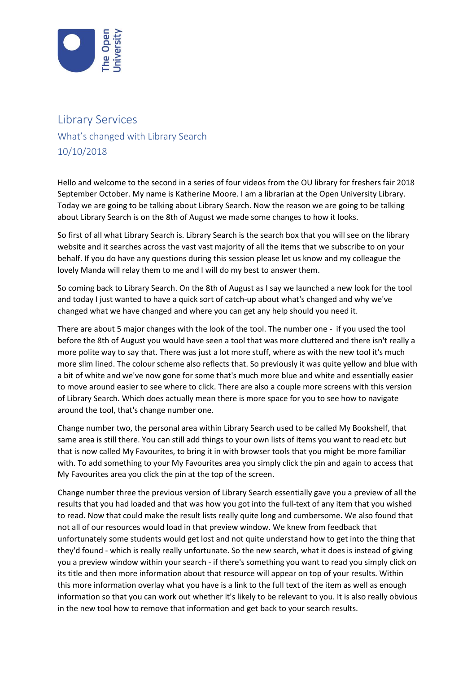

## Library Services What's changed with Library Search 10/10/2018

Hello and welcome to the second in a series of four videos from the OU library for freshers fair 2018 September October. My name is Katherine Moore. I am a librarian at the Open University Library. Today we are going to be talking about Library Search. Now the reason we are going to be talking about Library Search is on the 8th of August we made some changes to how it looks.

So first of all what Library Search is. Library Search is the search box that you will see on the library website and it searches across the vast vast majority of all the items that we subscribe to on your behalf. If you do have any questions during this session please let us know and my colleague the lovely Manda will relay them to me and I will do my best to answer them.

So coming back to Library Search. On the 8th of August as I say we launched a new look for the tool and today I just wanted to have a quick sort of catch-up about what's changed and why we've changed what we have changed and where you can get any help should you need it.

There are about 5 major changes with the look of the tool. The number one - if you used the tool before the 8th of August you would have seen a tool that was more cluttered and there isn't really a more polite way to say that. There was just a lot more stuff, where as with the new tool it's much more slim lined. The colour scheme also reflects that. So previously it was quite yellow and blue with a bit of white and we've now gone for some that's much more blue and white and essentially easier to move around easier to see where to click. There are also a couple more screens with this version of Library Search. Which does actually mean there is more space for you to see how to navigate around the tool, that's change number one.

Change number two, the personal area within Library Search used to be called My Bookshelf, that same area is still there. You can still add things to your own lists of items you want to read etc but that is now called My Favourites, to bring it in with browser tools that you might be more familiar with. To add something to your My Favourites area you simply click the pin and again to access that My Favourites area you click the pin at the top of the screen.

Change number three the previous version of Library Search essentially gave you a preview of all the results that you had loaded and that was how you got into the full-text of any item that you wished to read. Now that could make the result lists really quite long and cumbersome. We also found that not all of our resources would load in that preview window. We knew from feedback that unfortunately some students would get lost and not quite understand how to get into the thing that they'd found - which is really really unfortunate. So the new search, what it does is instead of giving you a preview window within your search - if there's something you want to read you simply click on its title and then more information about that resource will appear on top of your results. Within this more information overlay what you have is a link to the full text of the item as well as enough information so that you can work out whether it's likely to be relevant to you. It is also really obvious in the new tool how to remove that information and get back to your search results.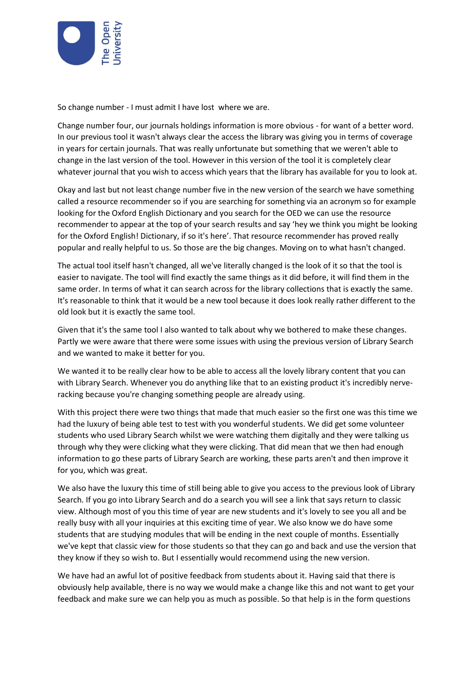

So change number - I must admit I have lost where we are.

Change number four, our journals holdings information is more obvious - for want of a better word. In our previous tool it wasn't always clear the access the library was giving you in terms of coverage in years for certain journals. That was really unfortunate but something that we weren't able to change in the last version of the tool. However in this version of the tool it is completely clear whatever journal that you wish to access which years that the library has available for you to look at.

Okay and last but not least change number five in the new version of the search we have something called a resource recommender so if you are searching for something via an acronym so for example looking for the Oxford English Dictionary and you search for the OED we can use the resource recommender to appear at the top of your search results and say 'hey we think you might be looking for the Oxford English! Dictionary, if so it's here'. That resource recommender has proved really popular and really helpful to us. So those are the big changes. Moving on to what hasn't changed.

The actual tool itself hasn't changed, all we've literally changed is the look of it so that the tool is easier to navigate. The tool will find exactly the same things as it did before, it will find them in the same order. In terms of what it can search across for the library collections that is exactly the same. It's reasonable to think that it would be a new tool because it does look really rather different to the old look but it is exactly the same tool.

Given that it's the same tool I also wanted to talk about why we bothered to make these changes. Partly we were aware that there were some issues with using the previous version of Library Search and we wanted to make it better for you.

We wanted it to be really clear how to be able to access all the lovely library content that you can with Library Search. Whenever you do anything like that to an existing product it's incredibly nerveracking because you're changing something people are already using.

With this project there were two things that made that much easier so the first one was this time we had the luxury of being able test to test with you wonderful students. We did get some volunteer students who used Library Search whilst we were watching them digitally and they were talking us through why they were clicking what they were clicking. That did mean that we then had enough information to go these parts of Library Search are working, these parts aren't and then improve it for you, which was great.

We also have the luxury this time of still being able to give you access to the previous look of Library Search. If you go into Library Search and do a search you will see a link that says return to classic view. Although most of you this time of year are new students and it's lovely to see you all and be really busy with all your inquiries at this exciting time of year. We also know we do have some students that are studying modules that will be ending in the next couple of months. Essentially we've kept that classic view for those students so that they can go and back and use the version that they know if they so wish to. But I essentially would recommend using the new version.

We have had an awful lot of positive feedback from students about it. Having said that there is obviously help available, there is no way we would make a change like this and not want to get your feedback and make sure we can help you as much as possible. So that help is in the form questions